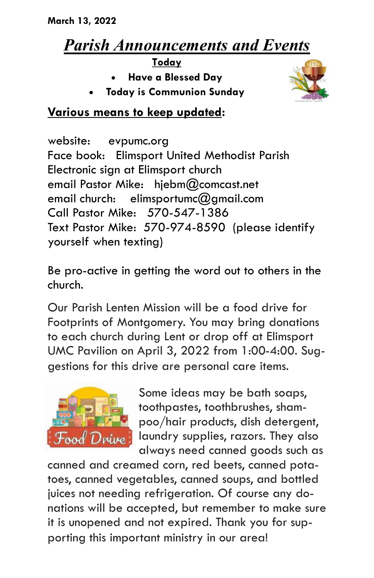## *Parish Announcements and Events*

**Today**

- **Have a Blessed Day**
- **Today is Communion Sunday**



## **Various means to keep updated:**

website: evpumc.org Face book: Elimsport United Methodist Parish Electronic sign at Elimsport church email Pastor Mike: hjebm@comcast.net email church: elimsportumc $@$ amail.com Call Pastor Mike: 570-547-1386 Text Pastor Mike: 570-974-8590 (please identify yourself when texting)

Be pro-active in getting the word out to others in the church.

Our Parish Lenten Mission will be a food drive for Footprints of Montgomery. You may bring donations to each church during Lent or drop off at Elimsport UMC Pavilion on April 3, 2022 from 1:00-4:00. Suggestions for this drive are personal care items.



Some ideas may be bath soaps, toothpastes, toothbrushes, shampoo/hair products, dish detergent, laundry supplies, razors. They also always need canned goods such as

canned and creamed corn, red beets, canned potatoes, canned vegetables, canned soups, and bottled juices not needing refrigeration. Of course any donations will be accepted, but remember to make sure it is unopened and not expired. Thank you for supporting this important ministry in our area!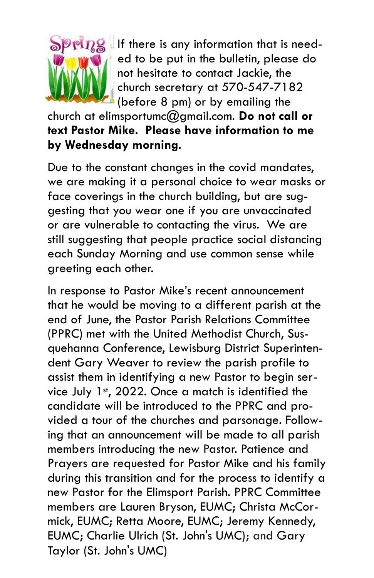

 $\mathbb{E}[\eta]$  If there is any information that is needed to be put in the bulletin, please do not hesitate to contact Jackie, the church secretary at 570-547-7182 (before 8 pm) or by emailing the

church at elimsportumc@gmail.com. **Do not call or text Pastor Mike. Please have information to me by Wednesday morning.**

Due to the constant changes in the covid mandates, we are making it a personal choice to wear masks or face coverings in the church building, but are suggesting that you wear one if you are unvaccinated or are vulnerable to contacting the virus. We are still suggesting that people practice social distancing each Sunday Morning and use common sense while greeting each other.

In response to Pastor Mike's recent announcement that he would be moving to a different parish at the end of June, the Pastor Parish Relations Committee (PPRC) met with the United Methodist Church, Susquehanna Conference, Lewisburg District Superintendent Gary Weaver to review the parish profile to assist them in identifying a new Pastor to begin service July  $1<sup>st</sup>$ , 2022. Once a match is identified the candidate will be introduced to the PPRC and provided a tour of the churches and parsonage. Following that an announcement will be made to all parish members introducing the new Pastor. Patience and Prayers are requested for Pastor Mike and his family during this transition and for the process to identify a new Pastor for the Elimsport Parish. PPRC Committee members are Lauren Bryson, EUMC; Christa McCormick, EUMC; Retta Moore, EUMC; Jeremy Kennedy, EUMC; Charlie Ulrich (St. John's UMC); and Gary Taylor (St. John's UMC)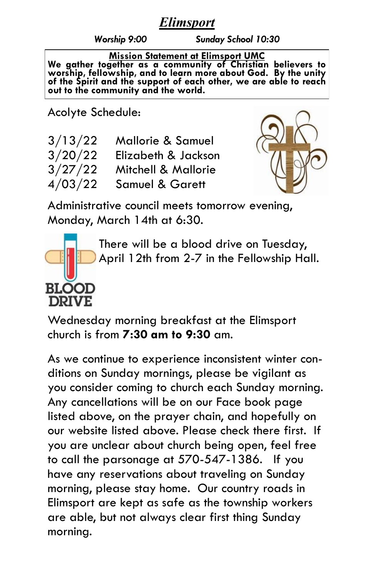## *Elimsport*

*Worship 9:00 Sunday School 10:30*

**Mission Statement at Elimsport UMC We gather together as a community of Christian believers to worship, fellowship, and to learn more about God. By the unity of the Spirit and the support of each other, we are able to reach out to the community and the world.**

Acolyte Schedule:

| 3/13/22 | <b>Mallorie &amp; Samuel</b> |
|---------|------------------------------|
| 3/20/22 | Elizabeth & Jackson          |
| 3/27/22 | Mitchell & Mallorie          |
| 4/03/22 | <b>Samuel &amp; Garett</b>   |



Administrative council meets tomorrow evening, Monday, March 14th at 6:30.



There will be a blood drive on Tuesday, April 12th from 2-7 in the Fellowship Hall.

Wednesday morning breakfast at the Elimsport church is from **7:30 am to 9:30** am.

As we continue to experience inconsistent winter conditions on Sunday mornings, please be vigilant as you consider coming to church each Sunday morning. Any cancellations will be on our Face book page listed above, on the prayer chain, and hopefully on our website listed above. Please check there first. If you are unclear about church being open, feel free to call the parsonage at 570-547-1386. If you have any reservations about traveling on Sunday morning, please stay home. Our country roads in Elimsport are kept as safe as the township workers are able, but not always clear first thing Sunday morning.